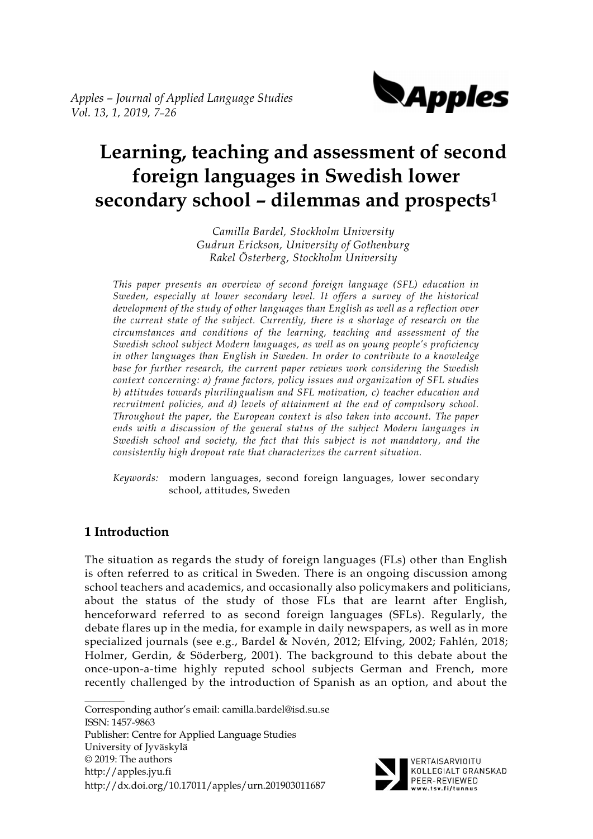*Apples – Journal of Applied Language Studies Vol. 13, 1, 2019, 7–26*



# **Learning, teaching and assessment of second foreign languages in Swedish lower secondary school – dilemmas and prospects<sup>1</sup>**

*Camilla Bardel, Stockholm University Gudrun Erickson, University of Gothenburg Rakel Österberg, Stockholm University*

*This paper presents an overview of second foreign language (SFL) education in Sweden, especially at lower secondary level. It offers a survey of the historical development of the study of other languages than English as well as a reflection over the current state of the subject. Currently, there is a shortage of research on the circumstances and conditions of the learning, teaching and assessment of the Swedish school subject Modern languages, as well as on young people's proficiency in other languages than English in Sweden. In order to contribute to a knowledge base for further research, the current paper reviews work considering the Swedish context concerning: a) frame factors, policy issues and organization of SFL studies b) attitudes towards plurilingualism and SFL motivation, c) teacher education and recruitment policies, and d) levels of attainment at the end of compulsory school. Throughout the paper, the European context is also taken into account. The paper ends with a discussion of the general status of the subject Modern languages in Swedish school and society, the fact that this subject is not mandatory, and the consistently high dropout rate that characterizes the current situation.*

*Keywords:* modern languages, second foreign languages, lower secondary school, attitudes, Sweden

# **1 Introduction**

The situation as regards the study of foreign languages (FLs) other than English is often referred to as critical in Sweden. There is an ongoing discussion among school teachers and academics, and occasionally also policymakers and politicians, about the status of the study of those FLs that are learnt after English, henceforward referred to as second foreign languages (SFLs). Regularly, the debate flares up in the media, for example in daily newspapers, as well as in more specialized journals (see e.g., Bardel & Novén, 2012; Elfving, 2002; Fahlén, 2018; Holmer, Gerdin, & Söderberg, 2001). The background to this debate about the once-upon-a-time highly reputed school subjects German and French, more recently challenged by the introduction of Spanish as an option, and about the

 $\mathcal{L}$ Corresponding author's email: camilla.bardel@isd.su.se ISSN: 1457-9863 Publisher: Centre for Applied Language Studies University of Jyväskylä © 2019: The authors http://apples.jyu.fi http://dx.doi.org/10.17011/apples/urn.201903011687



VERTAISARVIOITU KOLLEGIALT GRANSKAD PEER-REVIEWED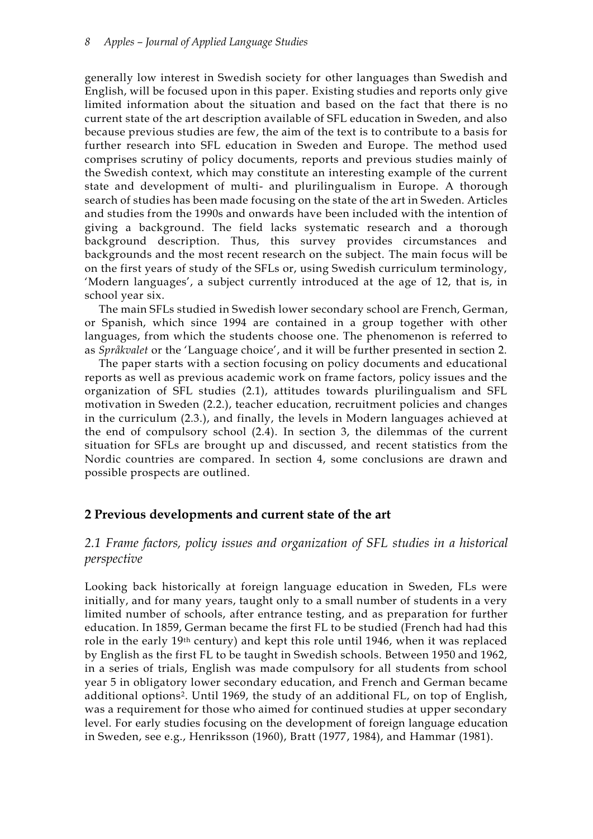generally low interest in Swedish society for other languages than Swedish and English, will be focused upon in this paper. Existing studies and reports only give limited information about the situation and based on the fact that there is no current state of the art description available of SFL education in Sweden, and also because previous studies are few, the aim of the text is to contribute to a basis for further research into SFL education in Sweden and Europe. The method used comprises scrutiny of policy documents, reports and previous studies mainly of the Swedish context, which may constitute an interesting example of the current state and development of multi- and plurilingualism in Europe. A thorough search of studies has been made focusing on the state of the art in Sweden. Articles and studies from the 1990s and onwards have been included with the intention of giving a background. The field lacks systematic research and a thorough background description. Thus, this survey provides circumstances and backgrounds and the most recent research on the subject. The main focus will be on the first years of study of the SFLs or, using Swedish curriculum terminology, 'Modern languages', a subject currently introduced at the age of 12, that is, in school year six.

The main SFLs studied in Swedish lower secondary school are French, German, or Spanish, which since 1994 are contained in a group together with other languages, from which the students choose one. The phenomenon is referred to as *Språkvalet* or the 'Language choice', and it will be further presented in section 2.

The paper starts with a section focusing on policy documents and educational reports as well as previous academic work on frame factors, policy issues and the organization of SFL studies (2.1), attitudes towards plurilingualism and SFL motivation in Sweden (2.2.), teacher education, recruitment policies and changes in the curriculum (2.3.), and finally, the levels in Modern languages achieved at the end of compulsory school (2.4). In section 3, the dilemmas of the current situation for SFLs are brought up and discussed, and recent statistics from the Nordic countries are compared. In section 4, some conclusions are drawn and possible prospects are outlined.

## **2 Previous developments and current state of the art**

# *2.1 Frame factors, policy issues and organization of SFL studies in a historical perspective*

Looking back historically at foreign language education in Sweden, FLs were initially, and for many years, taught only to a small number of students in a very limited number of schools, after entrance testing, and as preparation for further education. In 1859, German became the first FL to be studied (French had had this role in the early 19th century) and kept this role until 1946, when it was replaced by English as the first FL to be taught in Swedish schools. Between 1950 and 1962, in a series of trials, English was made compulsory for all students from school year 5 in obligatory lower secondary education, and French and German became additional options2. Until 1969, the study of an additional FL, on top of English, was a requirement for those who aimed for continued studies at upper secondary level. For early studies focusing on the development of foreign language education in Sweden, see e.g., Henriksson (1960), Bratt (1977, 1984), and Hammar (1981).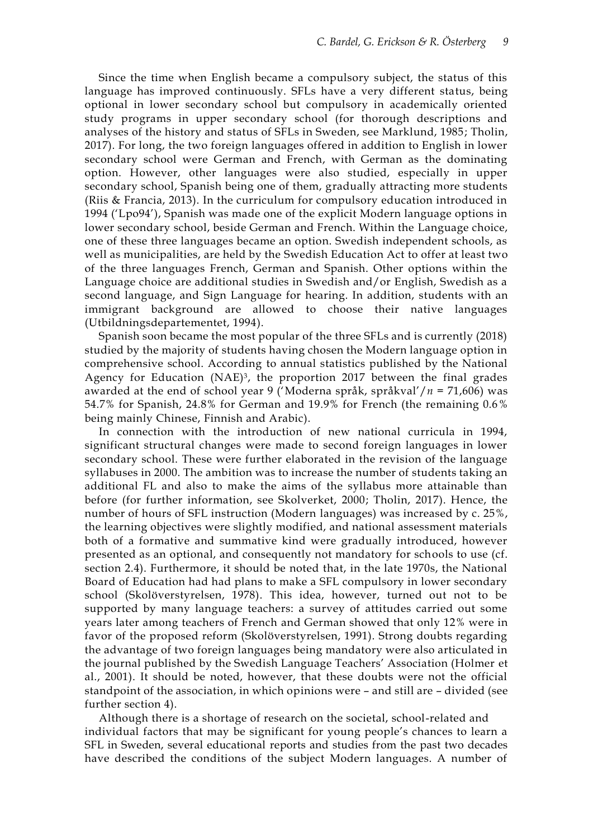Since the time when English became a compulsory subject, the status of this language has improved continuously. SFLs have a very different status, being optional in lower secondary school but compulsory in academically oriented study programs in upper secondary school (for thorough descriptions and analyses of the history and status of SFLs in Sweden, see Marklund, 1985; Tholin, 2017). For long, the two foreign languages offered in addition to English in lower secondary school were German and French, with German as the dominating option. However, other languages were also studied, especially in upper secondary school, Spanish being one of them, gradually attracting more students (Riis & Francia, 2013). In the curriculum for compulsory education introduced in 1994 ('Lpo94'), Spanish was made one of the explicit Modern language options in lower secondary school, beside German and French. Within the Language choice, one of these three languages became an option. Swedish independent schools, as well as municipalities, are held by the Swedish Education Act to offer at least two of the three languages French, German and Spanish. Other options within the Language choice are additional studies in Swedish and/or English, Swedish as a second language, and Sign Language for hearing. In addition, students with an immigrant background are allowed to choose their native languages (Utbildningsdepartementet, 1994).

Spanish soon became the most popular of the three SFLs and is currently (2018) studied by the majority of students having chosen the Modern language option in comprehensive school. According to annual statistics published by the National Agency for Education (NAE)<sup>3</sup>, the proportion 2017 between the final grades awarded at the end of school year 9 ('Moderna språk, språkval'/*n* = 71,606) was 54.7% for Spanish, 24.8% for German and 19.9% for French (the remaining 0.6% being mainly Chinese, Finnish and Arabic).

In connection with the introduction of new national curricula in 1994, significant structural changes were made to second foreign languages in lower secondary school. These were further elaborated in the revision of the language syllabuses in 2000. The ambition was to increase the number of students taking an additional FL and also to make the aims of the syllabus more attainable than before (for further information, see Skolverket, 2000; Tholin, 2017). Hence, the number of hours of SFL instruction (Modern languages) was increased by c. 25%, the learning objectives were slightly modified, and national assessment materials both of a formative and summative kind were gradually introduced, however presented as an optional, and consequently not mandatory for schools to use (cf. section 2.4). Furthermore, it should be noted that, in the late 1970s, the National Board of Education had had plans to make a SFL compulsory in lower secondary school (Skolöverstyrelsen, 1978). This idea, however, turned out not to be supported by many language teachers: a survey of attitudes carried out some years later among teachers of French and German showed that only 12% were in favor of the proposed reform (Skolöverstyrelsen, 1991). Strong doubts regarding the advantage of two foreign languages being mandatory were also articulated in the journal published by the Swedish Language Teachers' Association (Holmer et al., 2001). It should be noted, however, that these doubts were not the official standpoint of the association, in which opinions were – and still are – divided (see further section 4).

Although there is a shortage of research on the societal, school-related and individual factors that may be significant for young people's chances to learn a SFL in Sweden, several educational reports and studies from the past two decades have described the conditions of the subject Modern languages. A number of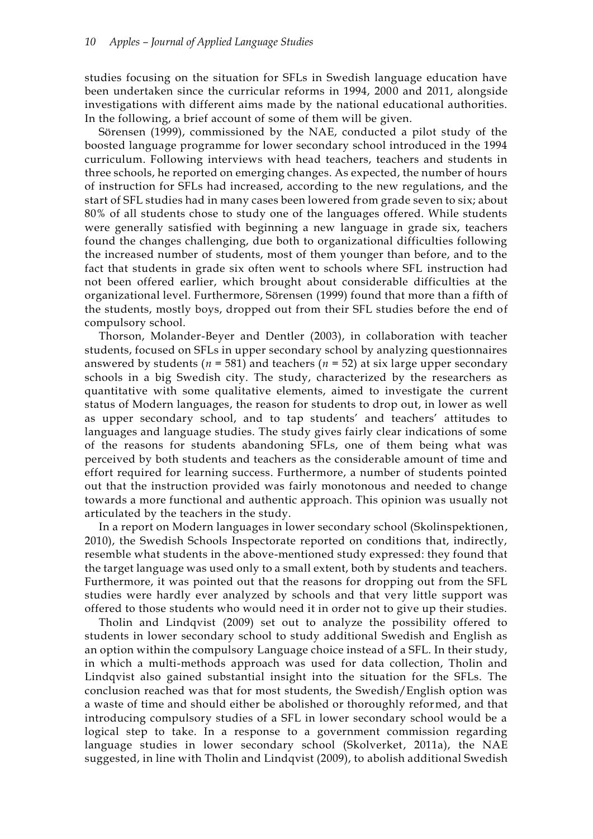studies focusing on the situation for SFLs in Swedish language education have been undertaken since the curricular reforms in 1994, 2000 and 2011, alongside investigations with different aims made by the national educational authorities. In the following, a brief account of some of them will be given.

Sörensen (1999), commissioned by the NAE, conducted a pilot study of the boosted language programme for lower secondary school introduced in the 1994 curriculum. Following interviews with head teachers, teachers and students in three schools, he reported on emerging changes. As expected, the number of hours of instruction for SFLs had increased, according to the new regulations, and the start of SFL studies had in many cases been lowered from grade seven to six; about 80% of all students chose to study one of the languages offered. While students were generally satisfied with beginning a new language in grade six, teachers found the changes challenging, due both to organizational difficulties following the increased number of students, most of them younger than before, and to the fact that students in grade six often went to schools where SFL instruction had not been offered earlier, which brought about considerable difficulties at the organizational level. Furthermore, Sörensen (1999) found that more than a fifth of the students, mostly boys, dropped out from their SFL studies before the end of compulsory school.

Thorson, Molander-Beyer and Dentler (2003), in collaboration with teacher students, focused on SFLs in upper secondary school by analyzing questionnaires answered by students ( $n = 581$ ) and teachers ( $n = 52$ ) at six large upper secondary schools in a big Swedish city. The study, characterized by the researchers as quantitative with some qualitative elements, aimed to investigate the current status of Modern languages, the reason for students to drop out, in lower as well as upper secondary school, and to tap students' and teachers' attitudes to languages and language studies. The study gives fairly clear indications of some of the reasons for students abandoning SFLs, one of them being what was perceived by both students and teachers as the considerable amount of time and effort required for learning success. Furthermore, a number of students pointed out that the instruction provided was fairly monotonous and needed to change towards a more functional and authentic approach. This opinion was usually not articulated by the teachers in the study.

In a report on Modern languages in lower secondary school (Skolinspektionen, 2010), the Swedish Schools Inspectorate reported on conditions that, indirectly, resemble what students in the above-mentioned study expressed: they found that the target language was used only to a small extent, both by students and teachers. Furthermore, it was pointed out that the reasons for dropping out from the SFL studies were hardly ever analyzed by schools and that very little support was offered to those students who would need it in order not to give up their studies.

Tholin and Lindqvist (2009) set out to analyze the possibility offered to students in lower secondary school to study additional Swedish and English as an option within the compulsory Language choice instead of a SFL. In their study, in which a multi-methods approach was used for data collection, Tholin and Lindqvist also gained substantial insight into the situation for the SFLs. The conclusion reached was that for most students, the Swedish/English option was a waste of time and should either be abolished or thoroughly reformed, and that introducing compulsory studies of a SFL in lower secondary school would be a logical step to take. In a response to a government commission regarding language studies in lower secondary school (Skolverket, 2011a), the NAE suggested, in line with Tholin and Lindqvist (2009), to abolish additional Swedish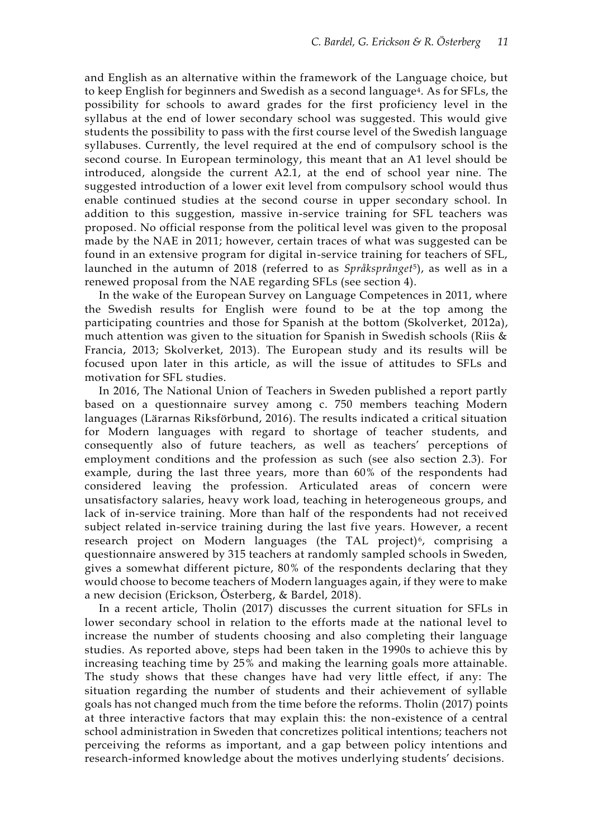and English as an alternative within the framework of the Language choice, but to keep English for beginners and Swedish as a second language<sup>4</sup>. As for SFLs, the possibility for schools to award grades for the first proficiency level in the syllabus at the end of lower secondary school was suggested. This would give students the possibility to pass with the first course level of the Swedish language syllabuses. Currently, the level required at the end of compulsory school is the second course. In European terminology, this meant that an A1 level should be introduced, alongside the current A2.1, at the end of school year nine. The suggested introduction of a lower exit level from compulsory school would thus enable continued studies at the second course in upper secondary school. In addition to this suggestion, massive in-service training for SFL teachers was proposed. No official response from the political level was given to the proposal made by the NAE in 2011; however, certain traces of what was suggested can be found in an extensive program for digital in-service training for teachers of SFL, launched in the autumn of 2018 (referred to as *Språksprånget*5), as well as in a renewed proposal from the NAE regarding SFLs (see section 4).

In the wake of the European Survey on Language Competences in 2011, where the Swedish results for English were found to be at the top among the participating countries and those for Spanish at the bottom (Skolverket, 2012a), much attention was given to the situation for Spanish in Swedish schools (Riis & Francia, 2013; Skolverket, 2013). The European study and its results will be focused upon later in this article, as will the issue of attitudes to SFLs and motivation for SFL studies.

In 2016, The National Union of Teachers in Sweden published a report partly based on a questionnaire survey among c. 750 members teaching Modern languages (Lärarnas Riksförbund, 2016). The results indicated a critical situation for Modern languages with regard to shortage of teacher students, and consequently also of future teachers, as well as teachers' perceptions of employment conditions and the profession as such (see also section 2.3). For example, during the last three years, more than 60% of the respondents had considered leaving the profession. Articulated areas of concern were unsatisfactory salaries, heavy work load, teaching in heterogeneous groups, and lack of in-service training. More than half of the respondents had not received subject related in-service training during the last five years. However, a recent research project on Modern languages (the TAL project)<sup>6</sup>, comprising a questionnaire answered by 315 teachers at randomly sampled schools in Sweden, gives a somewhat different picture, 80% of the respondents declaring that they would choose to become teachers of Modern languages again, if they were to make a new decision (Erickson, Österberg, & Bardel, 2018).

In a recent article, Tholin (2017) discusses the current situation for SFLs in lower secondary school in relation to the efforts made at the national level to increase the number of students choosing and also completing their language studies. As reported above, steps had been taken in the 1990s to achieve this by increasing teaching time by 25% and making the learning goals more attainable. The study shows that these changes have had very little effect, if any: The situation regarding the number of students and their achievement of syllable goals has not changed much from the time before the reforms. Tholin (2017) points at three interactive factors that may explain this: the non-existence of a central school administration in Sweden that concretizes political intentions; teachers not perceiving the reforms as important, and a gap between policy intentions and research-informed knowledge about the motives underlying students' decisions.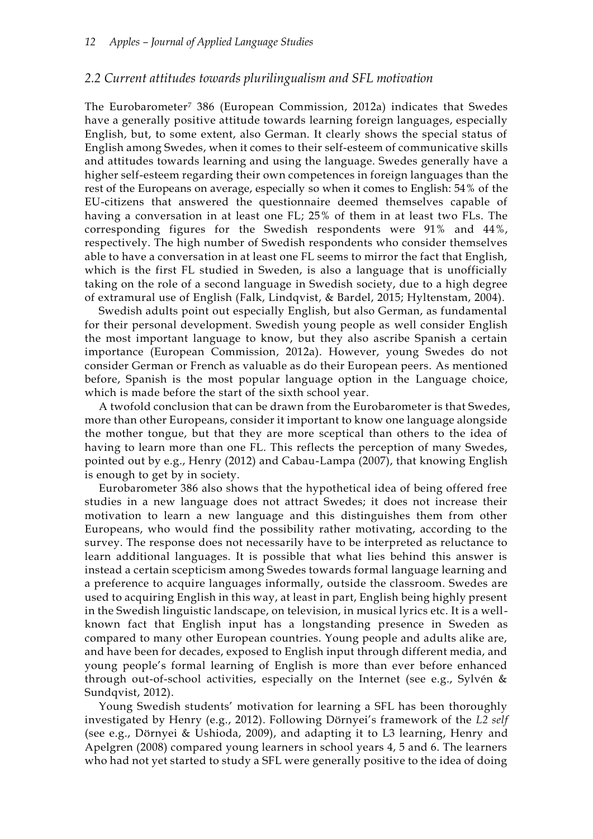### *2.2 Current attitudes towards plurilingualism and SFL motivation*

The Eurobarometer<sup>7</sup> 386 (European Commission, 2012a) indicates that Swedes have a generally positive attitude towards learning foreign languages, especially English, but, to some extent, also German. It clearly shows the special status of English among Swedes, when it comes to their self-esteem of communicative skills and attitudes towards learning and using the language. Swedes generally have a higher self-esteem regarding their own competences in foreign languages than the rest of the Europeans on average, especially so when it comes to English: 54% of the EU-citizens that answered the questionnaire deemed themselves capable of having a conversation in at least one FL; 25% of them in at least two FLs. The corresponding figures for the Swedish respondents were 91% and 44%, respectively. The high number of Swedish respondents who consider themselves able to have a conversation in at least one FL seems to mirror the fact that English, which is the first FL studied in Sweden, is also a language that is unofficially taking on the role of a second language in Swedish society, due to a high degree of extramural use of English (Falk, Lindqvist, & Bardel, 2015; Hyltenstam, 2004).

Swedish adults point out especially English, but also German, as fundamental for their personal development. Swedish young people as well consider English the most important language to know, but they also ascribe Spanish a certain importance (European Commission, 2012a). However, young Swedes do not consider German or French as valuable as do their European peers. As mentioned before, Spanish is the most popular language option in the Language choice, which is made before the start of the sixth school year.

A twofold conclusion that can be drawn from the Eurobarometer is that Swedes, more than other Europeans, consider it important to know one language alongside the mother tongue, but that they are more sceptical than others to the idea of having to learn more than one FL. This reflects the perception of many Swedes, pointed out by e.g., Henry (2012) and Cabau-Lampa (2007), that knowing English is enough to get by in society.

Eurobarometer 386 also shows that the hypothetical idea of being offered free studies in a new language does not attract Swedes; it does not increase their motivation to learn a new language and this distinguishes them from other Europeans, who would find the possibility rather motivating, according to the survey. The response does not necessarily have to be interpreted as reluctance to learn additional languages. It is possible that what lies behind this answer is instead a certain scepticism among Swedes towards formal language learning and a preference to acquire languages informally, outside the classroom. Swedes are used to acquiring English in this way, at least in part, English being highly present in the Swedish linguistic landscape, on television, in musical lyrics etc. It is a wellknown fact that English input has a longstanding presence in Sweden as compared to many other European countries. Young people and adults alike are, and have been for decades, exposed to English input through different media, and young people's formal learning of English is more than ever before enhanced through out-of-school activities, especially on the Internet (see e.g., Sylvén & Sundqvist, 2012).

Young Swedish students' motivation for learning a SFL has been thoroughly investigated by Henry (e.g., 2012). Following Dörnyei's framework of the *L2 self* (see e.g., Dörnyei & Ushioda, 2009), and adapting it to L3 learning, Henry and Apelgren (2008) compared young learners in school years 4, 5 and 6. The learners who had not yet started to study a SFL were generally positive to the idea of doing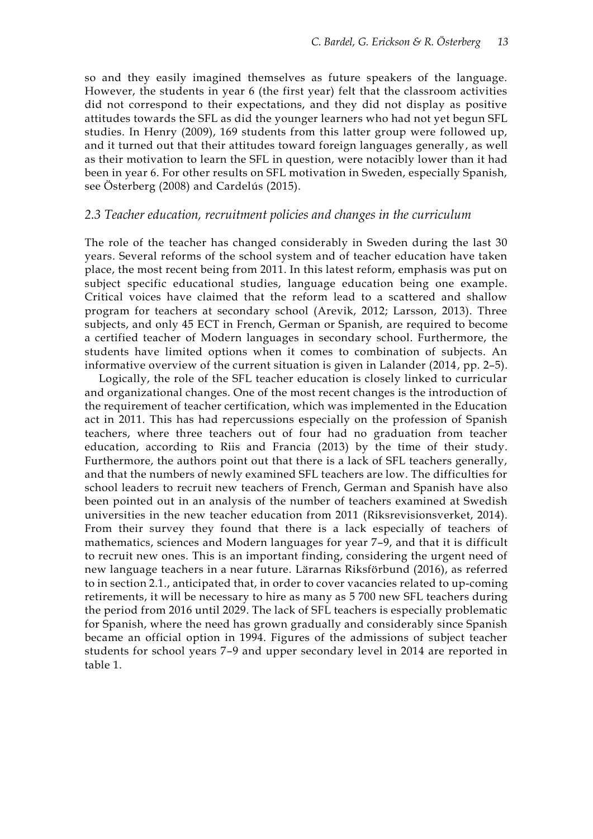so and they easily imagined themselves as future speakers of the language. However, the students in year 6 (the first year) felt that the classroom activities did not correspond to their expectations, and they did not display as positive attitudes towards the SFL as did the younger learners who had not yet begun SFL studies. In Henry (2009), 169 students from this latter group were followed up, and it turned out that their attitudes toward foreign languages generally, as well as their motivation to learn the SFL in question, were notacibly lower than it had been in year 6. For other results on SFL motivation in Sweden, especially Spanish, see Österberg (2008) and Cardelús (2015).

### *2.3 Teacher education, recruitment policies and changes in the curriculum*

The role of the teacher has changed considerably in Sweden during the last 30 years. Several reforms of the school system and of teacher education have taken place, the most recent being from 2011. In this latest reform, emphasis was put on subject specific educational studies, language education being one example. Critical voices have claimed that the reform lead to a scattered and shallow program for teachers at secondary school (Arevik, 2012; Larsson, 2013). Three subjects, and only 45 ECT in French, German or Spanish, are required to become a certified teacher of Modern languages in secondary school. Furthermore, the students have limited options when it comes to combination of subjects. An informative overview of the current situation is given in Lalander (2014, pp. 2–5).

Logically, the role of the SFL teacher education is closely linked to curricular and organizational changes. One of the most recent changes is the introduction of the requirement of teacher certification, which was implemented in the Education act in 2011. This has had repercussions especially on the profession of Spanish teachers, where three teachers out of four had no graduation from teacher education, according to Riis and Francia (2013) by the time of their study. Furthermore, the authors point out that there is a lack of SFL teachers generally, and that the numbers of newly examined SFL teachers are low. The difficulties for school leaders to recruit new teachers of French, German and Spanish have also been pointed out in an analysis of the number of teachers examined at Swedish universities in the new teacher education from 2011 (Riksrevisionsverket, 2014). From their survey they found that there is a lack especially of teachers of mathematics, sciences and Modern languages for year 7–9, and that it is difficult to recruit new ones. This is an important finding, considering the urgent need of new language teachers in a near future. Lärarnas Riksförbund (2016), as referred to in section 2.1., anticipated that, in order to cover vacancies related to up-coming retirements, it will be necessary to hire as many as 5 700 new SFL teachers during the period from 2016 until 2029. The lack of SFL teachers is especially problematic for Spanish, where the need has grown gradually and considerably since Spanish became an official option in 1994. Figures of the admissions of subject teacher students for school years 7–9 and upper secondary level in 2014 are reported in table 1.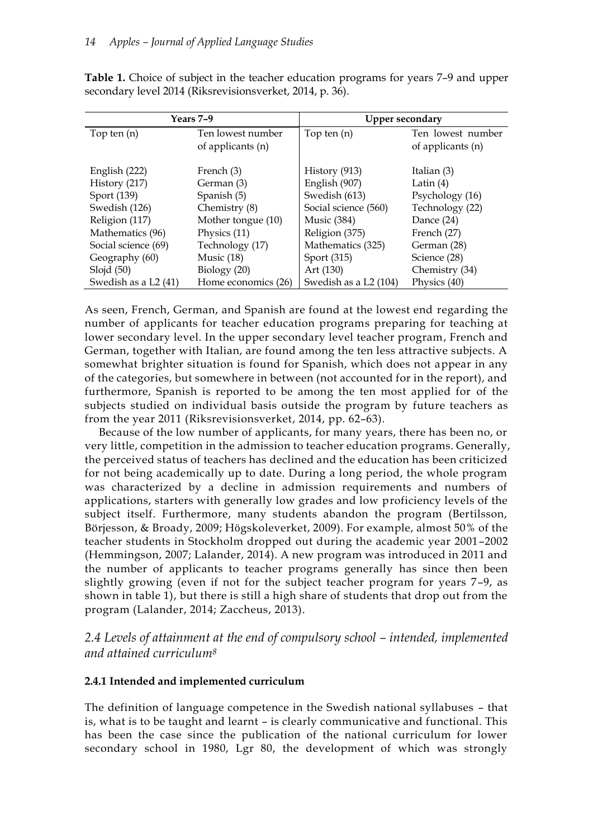| Years 7-9            |                     | <b>Upper secondary</b> |                   |  |
|----------------------|---------------------|------------------------|-------------------|--|
| Top ten $(n)$        | Ten lowest number   | Top ten $(n)$          | Ten lowest number |  |
|                      | of applicants (n)   |                        | of applicants (n) |  |
| English (222)        | French (3)          | History (913)          | Italian (3)       |  |
| History (217)        | German (3)          | English (907)          | Latin $(4)$       |  |
| Sport (139)          | Spanish (5)         | Swedish (613)          | Psychology (16)   |  |
| Swedish (126)        | Chemistry (8)       | Social science (560)   | Technology (22)   |  |
| Religion (117)       | Mother tongue (10)  | <b>Music</b> (384)     | Dance (24)        |  |
| Mathematics (96)     | Physics (11)        | Religion (375)         | French (27)       |  |
| Social science (69)  | Technology (17)     | Mathematics (325)      | German (28)       |  |
| Geography (60)       | Music $(18)$        | Sport (315)            | Science (28)      |  |
| Slojd $(50)$         | Biology $(20)$      | Art (130)              | Chemistry (34)    |  |
| Swedish as a L2 (41) | Home economics (26) | Swedish as a L2 (104)  | Physics (40)      |  |

**Table 1.** Choice of subject in the teacher education programs for years 7–9 and upper secondary level 2014 (Riksrevisionsverket, 2014, p. 36).

As seen, French, German, and Spanish are found at the lowest end regarding the number of applicants for teacher education programs preparing for teaching at lower secondary level. In the upper secondary level teacher program, French and German, together with Italian, are found among the ten less attractive subjects. A somewhat brighter situation is found for Spanish, which does not appear in any of the categories, but somewhere in between (not accounted for in the report), and furthermore, Spanish is reported to be among the ten most applied for of the subjects studied on individual basis outside the program by future teachers as from the year 2011 (Riksrevisionsverket, 2014, pp. 62–63).

Because of the low number of applicants, for many years, there has been no, or very little, competition in the admission to teacher education programs. Generally, the perceived status of teachers has declined and the education has been criticized for not being academically up to date. During a long period, the whole program was characterized by a decline in admission requirements and numbers of applications, starters with generally low grades and low proficiency levels of the subject itself. Furthermore, many students abandon the program (Bertilsson, Börjesson, & Broady, 2009; Högskoleverket, 2009). For example, almost 50% of the teacher students in Stockholm dropped out during the academic year 2001–2002 (Hemmingson, 2007; Lalander, 2014). A new program was introduced in 2011 and the number of applicants to teacher programs generally has since then been slightly growing (even if not for the subject teacher program for years 7–9, as shown in table 1), but there is still a high share of students that drop out from the program (Lalander, 2014; Zaccheus, 2013).

2.4 Levels of attainment at the end of compulsory school – *intended, implemented and attained curriculum<sup>8</sup>*

# **2.4.1 Intended and implemented curriculum**

The definition of language competence in the Swedish national syllabuses – that is, what is to be taught and learnt – is clearly communicative and functional. This has been the case since the publication of the national curriculum for lower secondary school in 1980, Lgr 80, the development of which was strongly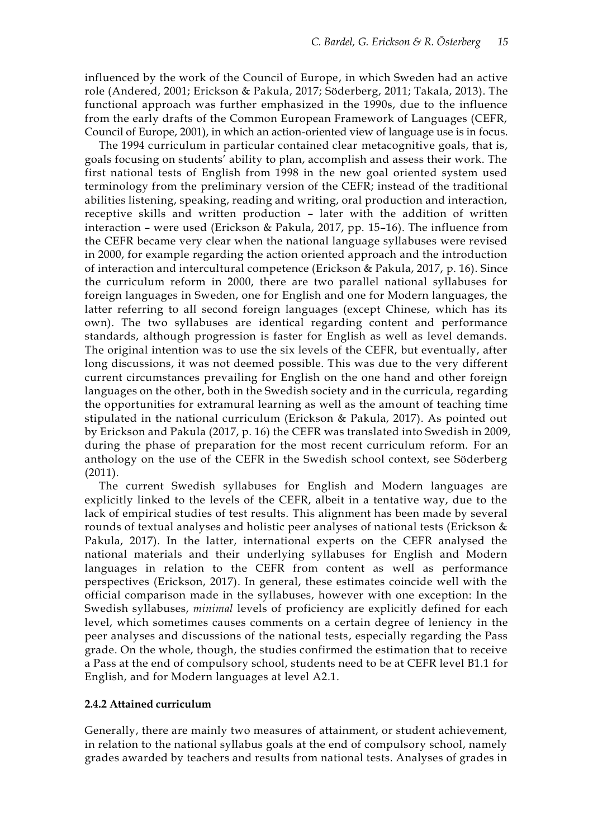influenced by the work of the Council of Europe, in which Sweden had an active role (Andered, 2001; Erickson & Pakula, 2017; Söderberg, 2011; Takala, 2013). The functional approach was further emphasized in the 1990s, due to the influence from the early drafts of the Common European Framework of Languages (CEFR, Council of Europe, 2001), in which an action-oriented view of language use is in focus.

The 1994 curriculum in particular contained clear metacognitive goals, that is, goals focusing on students' ability to plan, accomplish and assess their work. The first national tests of English from 1998 in the new goal oriented system used terminology from the preliminary version of the CEFR; instead of the traditional abilities listening, speaking, reading and writing, oral production and interaction, receptive skills and written production – later with the addition of written interaction – were used (Erickson & Pakula, 2017, pp. 15–16). The influence from the CEFR became very clear when the national language syllabuses were revised in 2000, for example regarding the action oriented approach and the introduction of interaction and intercultural competence (Erickson & Pakula, 2017, p. 16). Since the curriculum reform in 2000, there are two parallel national syllabuses for foreign languages in Sweden, one for English and one for Modern languages, the latter referring to all second foreign languages (except Chinese, which has its own). The two syllabuses are identical regarding content and performance standards, although progression is faster for English as well as level demands. The original intention was to use the six levels of the CEFR, but eventually, after long discussions, it was not deemed possible. This was due to the very different current circumstances prevailing for English on the one hand and other foreign languages on the other, both in the Swedish society and in the curricula, regarding the opportunities for extramural learning as well as the amount of teaching time stipulated in the national curriculum (Erickson & Pakula, 2017). As pointed out by Erickson and Pakula (2017, p. 16) the CEFR was translated into Swedish in 2009, during the phase of preparation for the most recent curriculum reform. For an anthology on the use of the CEFR in the Swedish school context, see Söderberg (2011).

The current Swedish syllabuses for English and Modern languages are explicitly linked to the levels of the CEFR, albeit in a tentative way, due to the lack of empirical studies of test results. This alignment has been made by several rounds of textual analyses and holistic peer analyses of national tests (Erickson & Pakula, 2017). In the latter, international experts on the CEFR analysed the national materials and their underlying syllabuses for English and Modern languages in relation to the CEFR from content as well as performance perspectives (Erickson, 2017). In general, these estimates coincide well with the official comparison made in the syllabuses, however with one exception: In the Swedish syllabuses, *minimal* levels of proficiency are explicitly defined for each level, which sometimes causes comments on a certain degree of leniency in the peer analyses and discussions of the national tests, especially regarding the Pass grade. On the whole, though, the studies confirmed the estimation that to receive a Pass at the end of compulsory school, students need to be at CEFR level B1.1 for English, and for Modern languages at level A2.1.

### **2.4.2 Attained curriculum**

Generally, there are mainly two measures of attainment, or student achievement, in relation to the national syllabus goals at the end of compulsory school, namely grades awarded by teachers and results from national tests. Analyses of grades in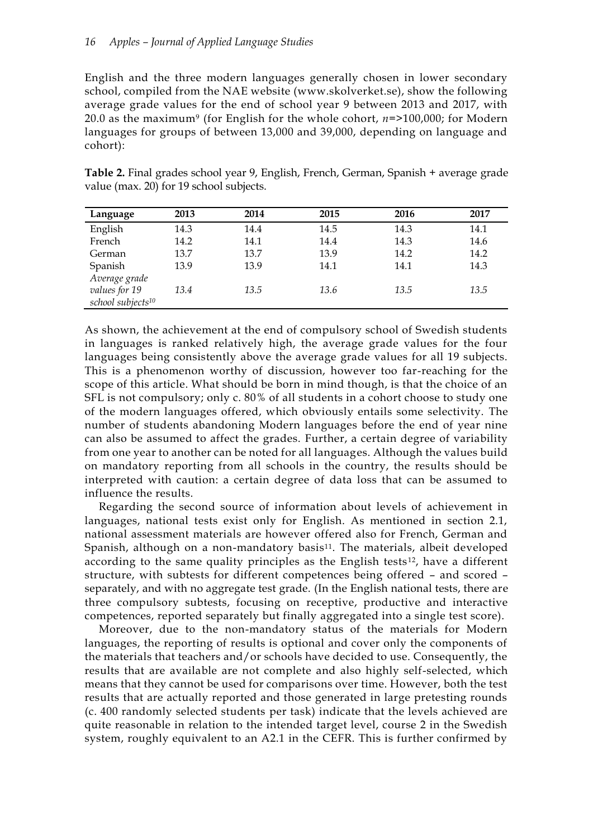English and the three modern languages generally chosen in lower secondary school, compiled from the NAE website (www.skolverket.se), show the following average grade values for the end of school year 9 between 2013 and 2017, with 20.0 as the maximum<sup>9</sup> (for English for the whole cohort, *n*=>100,000; for Modern languages for groups of between 13,000 and 39,000, depending on language and cohort):

| Language                      | 2013 | 2014 | 2015 | 2016 | 2017 |
|-------------------------------|------|------|------|------|------|
| English                       | 14.3 | 14.4 | 14.5 | 14.3 | 14.1 |
| French                        | 14.2 | 14.1 | 14.4 | 14.3 | 14.6 |
| German                        | 13.7 | 13.7 | 13.9 | 14.2 | 14.2 |
| Spanish                       | 13.9 | 13.9 | 14.1 | 14.1 | 14.3 |
| Average grade                 |      |      |      |      |      |
| values for 19                 | 13.4 | 13.5 | 13.6 | 13.5 | 13.5 |
| school subjects <sup>10</sup> |      |      |      |      |      |

**Table 2.** Final grades school year 9, English, French, German, Spanish + average grade value (max. 20) for 19 school subjects.

As shown, the achievement at the end of compulsory school of Swedish students in languages is ranked relatively high, the average grade values for the four languages being consistently above the average grade values for all 19 subjects. This is a phenomenon worthy of discussion, however too far-reaching for the scope of this article. What should be born in mind though, is that the choice of an SFL is not compulsory; only c. 80% of all students in a cohort choose to study one of the modern languages offered, which obviously entails some selectivity. The number of students abandoning Modern languages before the end of year nine can also be assumed to affect the grades. Further, a certain degree of variability from one year to another can be noted for all languages. Although the values build on mandatory reporting from all schools in the country, the results should be interpreted with caution: a certain degree of data loss that can be assumed to influence the results.

Regarding the second source of information about levels of achievement in languages, national tests exist only for English. As mentioned in section 2.1, national assessment materials are however offered also for French, German and Spanish, although on a non-mandatory basis<sup>11</sup>. The materials, albeit developed according to the same quality principles as the English tests<sup>12</sup>, have a different structure, with subtests for different competences being offered – and scored – separately, and with no aggregate test grade. (In the English national tests, there are three compulsory subtests, focusing on receptive, productive and interactive competences, reported separately but finally aggregated into a single test score).

Moreover, due to the non-mandatory status of the materials for Modern languages, the reporting of results is optional and cover only the components of the materials that teachers and/or schools have decided to use. Consequently, the results that are available are not complete and also highly self-selected, which means that they cannot be used for comparisons over time. However, both the test results that are actually reported and those generated in large pretesting rounds (c. 400 randomly selected students per task) indicate that the levels achieved are quite reasonable in relation to the intended target level, course 2 in the Swedish system, roughly equivalent to an A2.1 in the CEFR. This is further confirmed by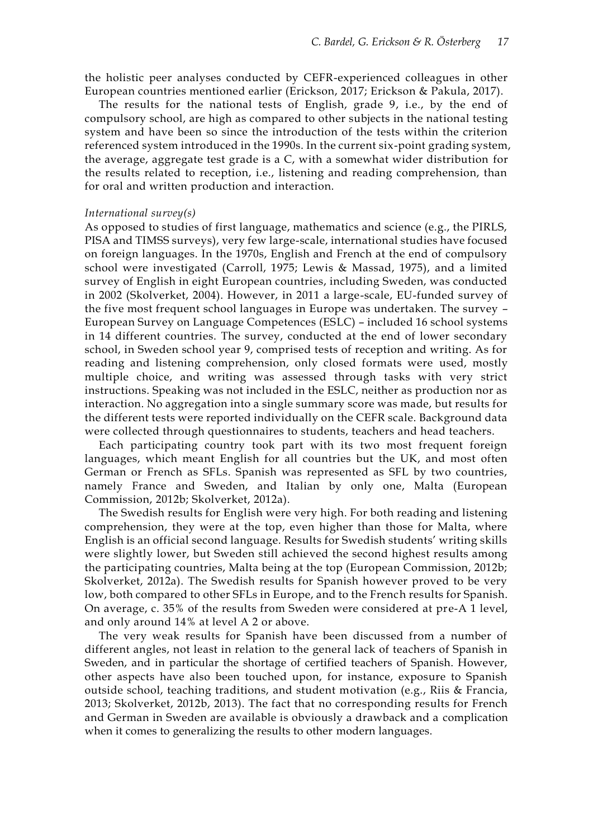the holistic peer analyses conducted by CEFR-experienced colleagues in other European countries mentioned earlier (Erickson, 2017; Erickson & Pakula, 2017).

The results for the national tests of English, grade 9, i.e., by the end of compulsory school, are high as compared to other subjects in the national testing system and have been so since the introduction of the tests within the criterion referenced system introduced in the 1990s. In the current six-point grading system, the average, aggregate test grade is a C, with a somewhat wider distribution for the results related to reception, i.e., listening and reading comprehension, than for oral and written production and interaction.

#### *International survey(s)*

As opposed to studies of first language, mathematics and science (e.g., the PIRLS, PISA and TIMSS surveys), very few large-scale, international studies have focused on foreign languages. In the 1970s, English and French at the end of compulsory school were investigated (Carroll, 1975; Lewis & Massad, 1975), and a limited survey of English in eight European countries, including Sweden, was conducted in 2002 (Skolverket, 2004). However, in 2011 a large-scale, EU-funded survey of the five most frequent school languages in Europe was undertaken. The survey – European Survey on Language Competences (ESLC) – included 16 school systems in 14 different countries. The survey, conducted at the end of lower secondary school, in Sweden school year 9, comprised tests of reception and writing. As for reading and listening comprehension, only closed formats were used, mostly multiple choice, and writing was assessed through tasks with very strict instructions. Speaking was not included in the ESLC, neither as production nor as interaction. No aggregation into a single summary score was made, but results for the different tests were reported individually on the CEFR scale. Background data were collected through questionnaires to students, teachers and head teachers.

Each participating country took part with its two most frequent foreign languages, which meant English for all countries but the UK, and most often German or French as SFLs. Spanish was represented as SFL by two countries, namely France and Sweden, and Italian by only one, Malta (European Commission, 2012b; Skolverket, 2012a).

The Swedish results for English were very high. For both reading and listening comprehension, they were at the top, even higher than those for Malta, where English is an official second language. Results for Swedish students' writing skills were slightly lower, but Sweden still achieved the second highest results among the participating countries, Malta being at the top (European Commission, 2012b; Skolverket, 2012a). The Swedish results for Spanish however proved to be very low, both compared to other SFLs in Europe, and to the French results for Spanish. On average, c. 35% of the results from Sweden were considered at pre-A 1 level, and only around 14% at level A 2 or above.

The very weak results for Spanish have been discussed from a number of different angles, not least in relation to the general lack of teachers of Spanish in Sweden, and in particular the shortage of certified teachers of Spanish. However, other aspects have also been touched upon, for instance, exposure to Spanish outside school, teaching traditions, and student motivation (e.g., Riis & Francia, 2013; Skolverket, 2012b, 2013). The fact that no corresponding results for French and German in Sweden are available is obviously a drawback and a complication when it comes to generalizing the results to other modern languages.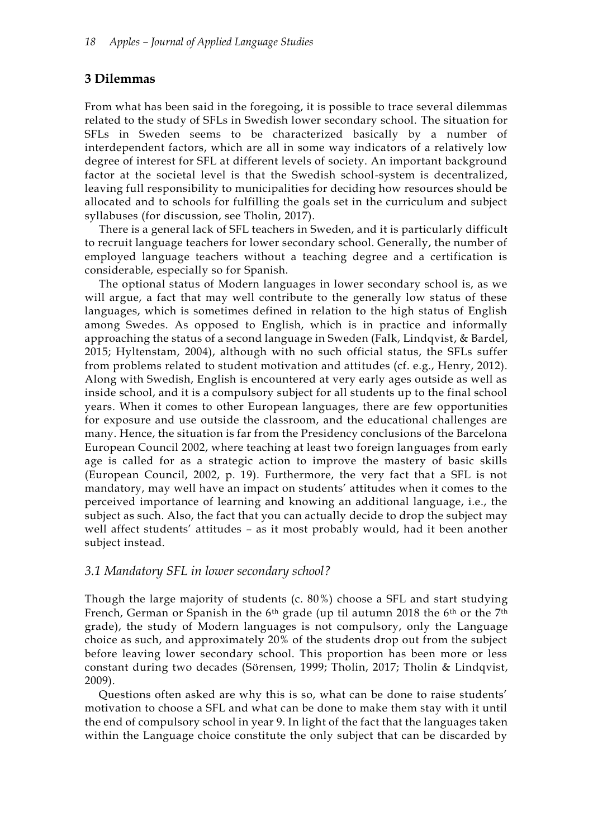# **3 Dilemmas**

From what has been said in the foregoing, it is possible to trace several dilemmas related to the study of SFLs in Swedish lower secondary school. The situation for SFLs in Sweden seems to be characterized basically by a number of interdependent factors, which are all in some way indicators of a relatively low degree of interest for SFL at different levels of society. An important background factor at the societal level is that the Swedish school-system is decentralized, leaving full responsibility to municipalities for deciding how resources should be allocated and to schools for fulfilling the goals set in the curriculum and subject syllabuses (for discussion, see Tholin, 2017).

There is a general lack of SFL teachers in Sweden, and it is particularly difficult to recruit language teachers for lower secondary school. Generally, the number of employed language teachers without a teaching degree and a certification is considerable, especially so for Spanish.

The optional status of Modern languages in lower secondary school is, as we will argue, a fact that may well contribute to the generally low status of these languages, which is sometimes defined in relation to the high status of English among Swedes. As opposed to English, which is in practice and informally approaching the status of a second language in Sweden (Falk, Lindqvist, & Bardel, 2015; Hyltenstam, 2004), although with no such official status, the SFLs suffer from problems related to student motivation and attitudes (cf. e.g., Henry, 2012). Along with Swedish, English is encountered at very early ages outside as well as inside school, and it is a compulsory subject for all students up to the final school years. When it comes to other European languages, there are few opportunities for exposure and use outside the classroom, and the educational challenges are many. Hence, the situation is far from the Presidency conclusions of the Barcelona European Council 2002, where teaching at least two foreign languages from early age is called for as a strategic action to improve the mastery of basic skills (European Council, 2002, p. 19). Furthermore, the very fact that a SFL is not mandatory, may well have an impact on students' attitudes when it comes to the perceived importance of learning and knowing an additional language, i.e., the subject as such. Also, the fact that you can actually decide to drop the subject may well affect students' attitudes – as it most probably would, had it been another subject instead.

## *3.1 Mandatory SFL in lower secondary school?*

Though the large majority of students (c. 80%) choose a SFL and start studying French, German or Spanish in the 6th grade (up til autumn 2018 the 6th or the 7th grade), the study of Modern languages is not compulsory, only the Language choice as such, and approximately 20% of the students drop out from the subject before leaving lower secondary school. This proportion has been more or less constant during two decades (Sörensen, 1999; Tholin, 2017; Tholin & Lindqvist, 2009).

Questions often asked are why this is so, what can be done to raise students' motivation to choose a SFL and what can be done to make them stay with it until the end of compulsory school in year 9. In light of the fact that the languages taken within the Language choice constitute the only subject that can be discarded by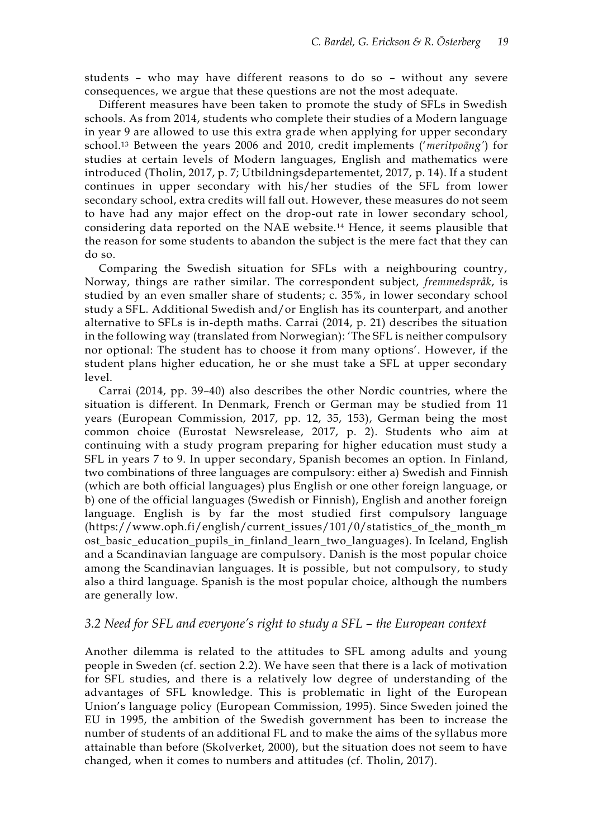students – who may have different reasons to do so – without any severe consequences, we argue that these questions are not the most adequate.

Different measures have been taken to promote the study of SFLs in Swedish schools. As from 2014, students who complete their studies of a Modern language in year 9 are allowed to use this extra grade when applying for upper secondary school. <sup>13</sup> Between the years 2006 and 2010, credit implements ('*meritpoäng'*) for studies at certain levels of Modern languages, English and mathematics were introduced (Tholin, 2017, p. 7; Utbildningsdepartementet, 2017, p. 14). If a student continues in upper secondary with his/her studies of the SFL from lower secondary school, extra credits will fall out. However, these measures do not seem to have had any major effect on the drop-out rate in lower secondary school, considering data reported on the NAE website.<sup>14</sup> Hence, it seems plausible that the reason for some students to abandon the subject is the mere fact that they can do so.

Comparing the Swedish situation for SFLs with a neighbouring country, Norway, things are rather similar. The correspondent subject, *fremmedspråk*, is studied by an even smaller share of students; c. 35%, in lower secondary school study a SFL. Additional Swedish and/or English has its counterpart, and another alternative to SFLs is in-depth maths. Carrai (2014, p. 21) describes the situation in the following way (translated from Norwegian): 'The SFL is neither compulsory nor optional: The student has to choose it from many options'. However, if the student plans higher education, he or she must take a SFL at upper secondary level.

Carrai (2014, pp. 39–40) also describes the other Nordic countries, where the situation is different. In Denmark, French or German may be studied from 11 years (European Commission, 2017, pp. 12, 35, 153), German being the most common choice (Eurostat Newsrelease, 2017, p. 2). Students who aim at continuing with a study program preparing for higher education must study a SFL in years 7 to 9. In upper secondary, Spanish becomes an option. In Finland, two combinations of three languages are compulsory: either a) Swedish and Finnish (which are both official languages) plus English or one other foreign language, or b) one of the official languages (Swedish or Finnish), English and another foreign language. English is by far the most studied first compulsory language (https://www.oph.fi/english/current\_issues/101/0/statistics\_of\_the\_month\_m ost\_basic\_education\_pupils\_in\_finland\_learn\_two\_languages). In Iceland, English and a Scandinavian language are compulsory. Danish is the most popular choice among the Scandinavian languages. It is possible, but not compulsory, to study also a third language. Spanish is the most popular choice, although the numbers are generally low.

### *3.2 Need for SFL and everyone's right to study a SFL – the European context*

Another dilemma is related to the attitudes to SFL among adults and young people in Sweden (cf. section 2.2). We have seen that there is a lack of motivation for SFL studies, and there is a relatively low degree of understanding of the advantages of SFL knowledge. This is problematic in light of the European Union's language policy (European Commission, 1995). Since Sweden joined the EU in 1995, the ambition of the Swedish government has been to increase the number of students of an additional FL and to make the aims of the syllabus more attainable than before (Skolverket, 2000), but the situation does not seem to have changed, when it comes to numbers and attitudes (cf. Tholin, 2017).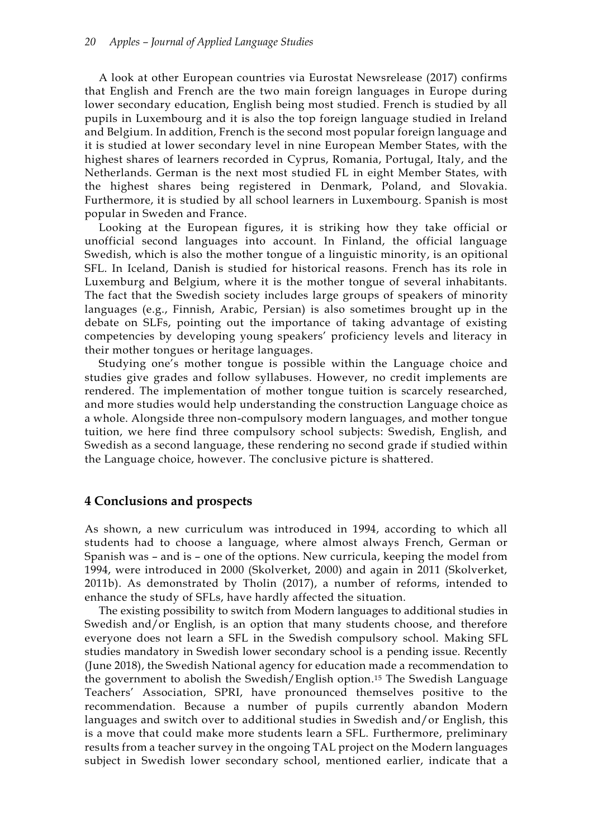A look at other European countries via Eurostat Newsrelease (2017) confirms that English and French are the two main foreign languages in Europe during lower secondary education, English being most studied. French is studied by all pupils in Luxembourg and it is also the top foreign language studied in Ireland and Belgium. In addition, French is the second most popular foreign language and it is studied at lower secondary level in nine European Member States, with the highest shares of learners recorded in Cyprus, Romania, Portugal, Italy, and the Netherlands. German is the next most studied FL in eight Member States, with the highest shares being registered in Denmark, Poland, and Slovakia. Furthermore, it is studied by all school learners in Luxembourg. Spanish is most popular in Sweden and France.

Looking at the European figures, it is striking how they take official or unofficial second languages into account. In Finland, the official language Swedish, which is also the mother tongue of a linguistic minority, is an opitional SFL. In Iceland, Danish is studied for historical reasons. French has its role in Luxemburg and Belgium, where it is the mother tongue of several inhabitants. The fact that the Swedish society includes large groups of speakers of minority languages (e.g., Finnish, Arabic, Persian) is also sometimes brought up in the debate on SLFs, pointing out the importance of taking advantage of existing competencies by developing young speakers' proficiency levels and literacy in their mother tongues or heritage languages.

Studying one's mother tongue is possible within the Language choice and studies give grades and follow syllabuses. However, no credit implements are rendered. The implementation of mother tongue tuition is scarcely researched, and more studies would help understanding the construction Language choice as a whole. Alongside three non-compulsory modern languages, and mother tongue tuition, we here find three compulsory school subjects: Swedish, English, and Swedish as a second language, these rendering no second grade if studied within the Language choice, however. The conclusive picture is shattered.

### **4 Conclusions and prospects**

As shown, a new curriculum was introduced in 1994, according to which all students had to choose a language, where almost always French, German or Spanish was – and is – one of the options. New curricula, keeping the model from 1994, were introduced in 2000 (Skolverket, 2000) and again in 2011 (Skolverket, 2011b). As demonstrated by Tholin (2017), a number of reforms, intended to enhance the study of SFLs, have hardly affected the situation.

The existing possibility to switch from Modern languages to additional studies in Swedish and/or English, is an option that many students choose, and therefore everyone does not learn a SFL in the Swedish compulsory school. Making SFL studies mandatory in Swedish lower secondary school is a pending issue. Recently (June 2018), the Swedish National agency for education made a recommendation to the government to abolish the Swedish/English option. <sup>15</sup> The Swedish Language Teachers' Association, SPRI, have pronounced themselves positive to the recommendation. Because a number of pupils currently abandon Modern languages and switch over to additional studies in Swedish and/or English, this is a move that could make more students learn a SFL. Furthermore, preliminary results from a teacher survey in the ongoing TAL project on the Modern languages subject in Swedish lower secondary school, mentioned earlier, indicate that a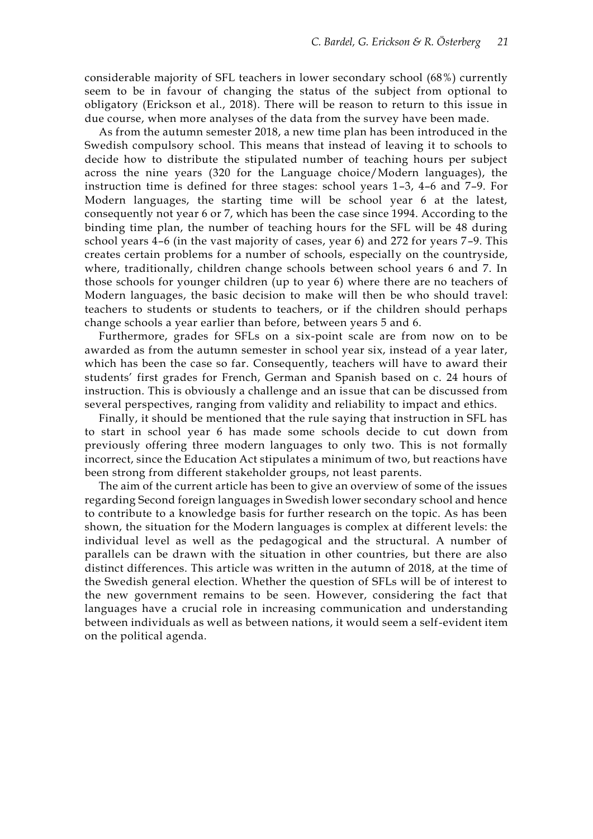considerable majority of SFL teachers in lower secondary school (68%) currently seem to be in favour of changing the status of the subject from optional to obligatory (Erickson et al., 2018). There will be reason to return to this issue in due course, when more analyses of the data from the survey have been made.

As from the autumn semester 2018, a new time plan has been introduced in the Swedish compulsory school. This means that instead of leaving it to schools to decide how to distribute the stipulated number of teaching hours per subject across the nine years (320 for the Language choice/Modern languages), the instruction time is defined for three stages: school years 1–3, 4–6 and 7–9. For Modern languages, the starting time will be school year 6 at the latest, consequently not year 6 or 7, which has been the case since 1994. According to the binding time plan, the number of teaching hours for the SFL will be 48 during school years 4–6 (in the vast majority of cases, year 6) and 272 for years 7–9. This creates certain problems for a number of schools, especially on the countryside, where, traditionally, children change schools between school years 6 and 7. In those schools for younger children (up to year 6) where there are no teachers of Modern languages, the basic decision to make will then be who should travel: teachers to students or students to teachers, or if the children should perhaps change schools a year earlier than before, between years 5 and 6.

Furthermore, grades for SFLs on a six-point scale are from now on to be awarded as from the autumn semester in school year six, instead of a year later, which has been the case so far. Consequently, teachers will have to award their students' first grades for French, German and Spanish based on c. 24 hours of instruction. This is obviously a challenge and an issue that can be discussed from several perspectives, ranging from validity and reliability to impact and ethics.

Finally, it should be mentioned that the rule saying that instruction in SFL has to start in school year 6 has made some schools decide to cut down from previously offering three modern languages to only two. This is not formally incorrect, since the Education Act stipulates a minimum of two, but reactions have been strong from different stakeholder groups, not least parents.

The aim of the current article has been to give an overview of some of the issues regarding Second foreign languages in Swedish lower secondary school and hence to contribute to a knowledge basis for further research on the topic. As has been shown, the situation for the Modern languages is complex at different levels: the individual level as well as the pedagogical and the structural. A number of parallels can be drawn with the situation in other countries, but there are also distinct differences. This article was written in the autumn of 2018, at the time of the Swedish general election. Whether the question of SFLs will be of interest to the new government remains to be seen. However, considering the fact that languages have a crucial role in increasing communication and understanding between individuals as well as between nations, it would seem a self-evident item on the political agenda.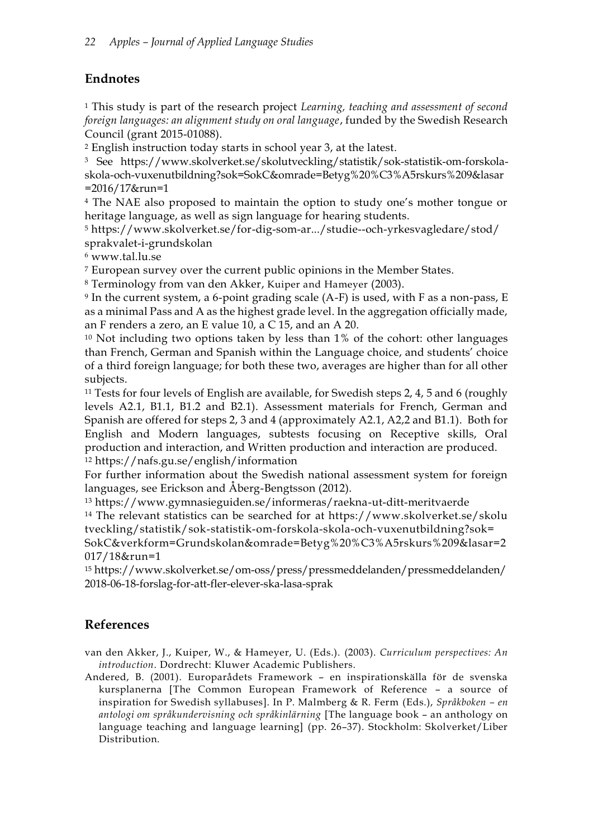# **Endnotes**

<sup>1</sup> This study is part of the research project *Learning, teaching and assessment of second foreign languages: an alignment study on oral language*, funded by the Swedish Research Council (grant 2015-01088).

<sup>2</sup> English instruction today starts in school year 3, at the latest.

<sup>3</sup> See https://www.skolverket.se/skolutveckling/statistik/sok-statistik-om-forskolaskola-och-vuxenutbildning?sok=SokC&omrade=Betyg%20%C3%A5rskurs%209&lasar =2016/17&run=1

<sup>4</sup> The NAE also proposed to maintain the option to study one's mother tongue or heritage language, as well as sign language for hearing students.

<sup>5</sup> https://www.skolverket.se/for-dig-som-ar.../studie--och-yrkesvagledare/stod/ sprakvalet-i-grundskolan

<sup>6</sup> www.tal.lu.se

<sup>7</sup> European survey over the current public opinions in the Member States.

<sup>8</sup> Terminology from van den Akker, Kuiper and Hameyer (2003).

<sup>9</sup> In the current system, a 6-point grading scale (A-F) is used, with F as a non-pass, E as a minimal Pass and A as the highest grade level. In the aggregation officially made, an F renders a zero, an E value 10, a C 15, and an A 20.

<sup>10</sup> Not including two options taken by less than 1% of the cohort: other languages than French, German and Spanish within the Language choice, and students' choice of a third foreign language; for both these two, averages are higher than for all other subjects.

<sup>11</sup> Tests for four levels of English are available, for Swedish steps 2, 4, 5 and 6 (roughly levels A2.1, B1.1, B1.2 and B2.1). Assessment materials for French, German and Spanish are offered for steps 2, 3 and 4 (approximately A2.1, A2,2 and B1.1). Both for English and Modern languages, subtests focusing on Receptive skills, Oral production and interaction, and Written production and interaction are produced. <sup>12</sup> https://nafs.gu.se/english/information

For further information about the Swedish national assessment system for foreign languages, see Erickson and Åberg-Bengtsson (2012).

<sup>13</sup> https://www.gymnasieguiden.se/informeras/raekna-ut-ditt-meritvaerde

<sup>14</sup> The relevant statistics can be searched for at https://www.skolverket.se/skolu tveckling/statistik/sok-statistik-om-forskola-skola-och-vuxenutbildning?sok=

SokC&verkform=Grundskolan&omrade=Betyg%20%C3%A5rskurs%209&lasar=2 017/18&run=1

<sup>15</sup> https://www.skolverket.se/om-oss/press/pressmeddelanden/pressmeddelanden/ 2018-06-18-forslag-for-att-fler-elever-ska-lasa-sprak

# **References**

van den Akker, J., Kuiper, W., & Hameyer, U. (Eds.). (2003). *Curriculum perspectives: An introduction*. Dordrecht: Kluwer Academic Publishers.

Andered, B. (2001). Europarådets Framework – en inspirationskälla för de svenska kursplanerna [The Common European Framework of Reference – a source of inspiration for Swedish syllabuses]. In P. Malmberg & R. Ferm (Eds.), *Språkboken – en antologi om språkundervisning och språkinlärning* [The language book – an anthology on language teaching and language learning] (pp. 26–37). Stockholm: Skolverket/Liber Distribution.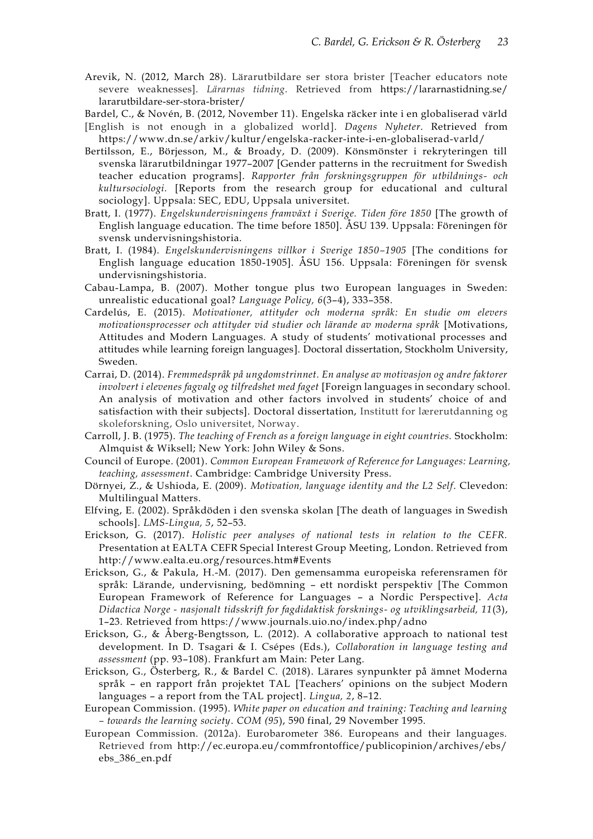- Arevik, N. (2012, March 28). Lärarutbildare ser stora brister [Teacher educators note severe weaknesses]. *Lärarnas tidning*. Retrieved from https://lararnastidning.se/ lararutbildare-ser-stora-brister/
- Bardel, C., & Novén, B. (2012, November 11). Engelska räcker inte i en globaliserad värld
- [English is not enough in a globalized world]. *Dagens Nyheter*. Retrieved from https://www.dn.se/arkiv/kultur/engelska-racker-inte-i-en-globaliserad-varld/
- Bertilsson, E., Börjesson, M., & Broady, D. (2009). Könsmönster i rekryteringen till svenska lärarutbildningar 1977–2007 [Gender patterns in the recruitment for Swedish teacher education programs]. *Rapporter från forskningsgruppen för utbildnings- och kultursociologi.* [Reports from the research group for educational and cultural sociology]. Uppsala: SEC, EDU, Uppsala universitet.
- Bratt, I. (1977). *Engelskundervisningens framväxt i Sverige. Tiden före 1850* [The growth of English language education. The time before 1850]. ÅSU 139. Uppsala: Föreningen för svensk undervisningshistoria.
- Bratt, I. (1984). *Engelskundervisningens villkor i Sverige 1850–1905* [The conditions for English language education 1850-1905]. ÅSU 156. Uppsala: Föreningen för svensk undervisningshistoria.
- Cabau-Lampa, B. (2007). Mother tongue plus two European languages in Sweden: unrealistic educational goal? *Language Policy, 6*(3–4), 333–358.
- Cardelús, E. (2015). *Motivationer, attityder och moderna språk: En studie om elevers motivationsprocesser och attityder vid studier och lärande av moderna språk* [Motivations, Attitudes and Modern Languages. A study of students' motivational processes and attitudes while learning foreign languages]. Doctoral dissertation, Stockholm University, Sweden.
- Carrai, D. (2014). *Fremmedspråk på ungdomstrinnet. En analyse av motivasjon og andre faktorer involvert i elevenes fagvalg og tilfredshet med faget* [Foreign languages in secondary school. An analysis of motivation and other factors involved in students' choice of and satisfaction with their subjects]. Doctoral dissertation, Institutt for lærerutdanning og skoleforskning, Oslo universitet, Norway.
- Carroll, J. B. (1975). *The teaching of French as a foreign language in eight countries.* Stockholm: Almquist & Wiksell; New York: John Wiley & Sons.
- Council of Europe. (2001). *Common European Framework of Reference for Languages: Learning, teaching, assessment*. Cambridge: Cambridge University Press.
- Dörnyei, Z., & Ushioda, E. (2009). *Motivation, language identity and the L2 Self*. Clevedon: Multilingual Matters.
- Elfving, E. (2002). Språkdöden i den svenska skolan [The death of languages in Swedish schools]. *LMS-Lingua, 5*, 52–53.
- Erickson, G. (2017). *Holistic peer analyses of national tests in relation to the CEFR.*  Presentation at EALTA CEFR Special Interest Group Meeting, London. Retrieved from http://www.ealta.eu.org/resources.htm#Events
- Erickson, G., & Pakula, H.-M. (2017). Den gemensamma europeiska referensramen för språk: Lärande, undervisning, bedömning – ett nordiskt perspektiv [The Common European Framework of Reference for Languages – a Nordic Perspective]. *Acta Didactica Norge - nasjonalt tidsskrift for fagdidaktisk forsknings- og utviklingsarbeid, 11*(3), 1–23*.* Retrieved from https://www.journals.uio.no/index.php/adno
- Erickson, G., & Åberg-Bengtsson, L. (2012). A collaborative approach to national test development. In D. Tsagari & I. Csépes (Eds.), *Collaboration in language testing and assessment* (pp. 93–108). Frankfurt am Main: Peter Lang.
- Erickson, G., Österberg, R., & Bardel C. (2018). Lärares synpunkter på ämnet Moderna språk – en rapport från projektet TAL [Teachers' opinions on the subject Modern languages – a report from the TAL project]. *Lingua, 2*, 8–12.
- European Commission. (1995). *White paper on education and training: Teaching and learning – towards the learning society*. *COM (95*), 590 final, 29 November 1995.
- European Commission. (2012a). Eurobarometer 386. Europeans and their languages. Retrieved from http://ec.europa.eu/commfrontoffice/publicopinion/archives/ebs/ ebs\_386\_en.pdf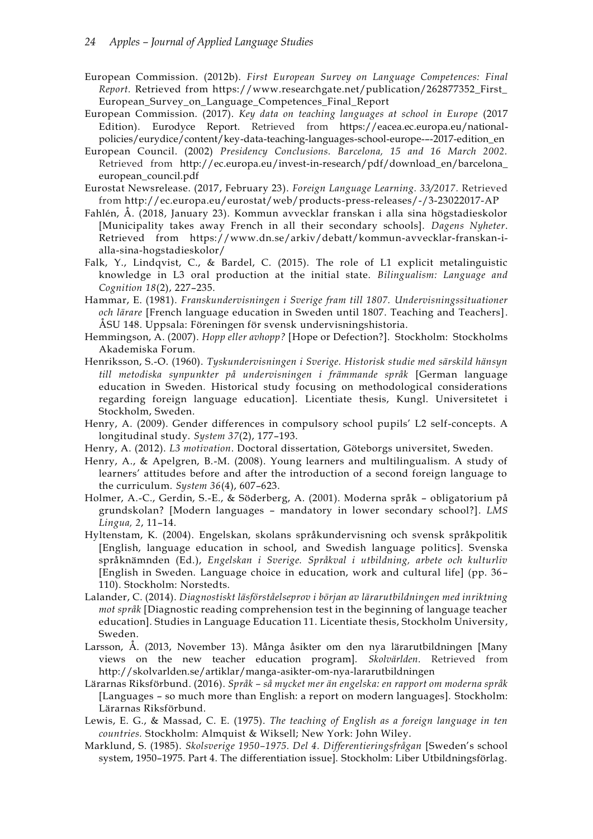- European Commission. (2012b). *First European Survey on Language Competences: Final Report.* Retrieved from https://www.researchgate.net/publication/262877352\_First\_ European\_Survey\_on\_Language\_Competences\_Final\_Report
- European Commission. (2017). *Key data on teaching languages at school in Europe* (2017 Edition). Eurodyce Report. Retrieved from https://eacea.ec.europa.eu/nationalpolicies/eurydice/content/key-data-teaching-languages-school-europe-–-2017-edition\_en
- European Council. (2002) *Presidency Conclusions. Barcelona, 15 and 16 March 2002.*  Retrieved from http://ec.europa.eu/invest-in-research/pdf/download\_en/barcelona\_ european\_council.pdf
- Eurostat Newsrelease. (2017, February 23). *Foreign Language Learning. 33/2017.* Retrieved from http://ec.europa.eu/eurostat/web/products-press-releases/-/3-23022017-AP
- Fahlén, Å. (2018, January 23). Kommun avvecklar franskan i alla sina högstadieskolor [Municipality takes away French in all their secondary schools]. *Dagens Nyheter*. Retrieved from https://www.dn.se/arkiv/debatt/kommun-avvecklar-franskan-ialla-sina-hogstadieskolor/
- Falk, Y., Lindqvist, C., & Bardel, C. (2015). The role of L1 explicit metalinguistic knowledge in L3 oral production at the initial state. *Bilingualism: Language and Cognition 18*(2), 227–235.
- Hammar, E. (1981). *Franskundervisningen i Sverige fram till 1807. Undervisningssituationer och lärare* [French language education in Sweden until 1807. Teaching and Teachers]. ÅSU 148. Uppsala: Föreningen för svensk undervisningshistoria.
- Hemmingson, A. (2007). *Hopp eller avhopp?* [Hope or Defection?]. Stockholm: Stockholms Akademiska Forum.
- Henriksson, S.-O. (1960). *Tyskundervisningen i Sverige. Historisk studie med särskild hänsyn till metodiska synpunkter på undervisningen i främmande språk* [German language education in Sweden*.* Historical study focusing on methodological considerations regarding foreign language education]. Licentiate thesis, Kungl. Universitetet i Stockholm, Sweden.
- Henry, A. (2009). Gender differences in compulsory school pupils' L2 self-concepts. A longitudinal study. *System 37*(2), 177–193.
- Henry, A. (2012). *L3 motivation*. Doctoral dissertation, Göteborgs universitet, Sweden.
- Henry, A., & Apelgren, B.-M. (2008). Young learners and multilingualism. A study of learners' attitudes before and after the introduction of a second foreign language to the curriculum. *System 36*(4), 607–623.
- Holmer, A.-C., Gerdin, S.-E., & Söderberg, A. (2001). Moderna språk obligatorium på grundskolan? [Modern languages – mandatory in lower secondary school?]. *LMS Lingua, 2*, 11–14.
- Hyltenstam, K. (2004). Engelskan, skolans språkundervisning och svensk språkpolitik [English, language education in school, and Swedish language politics]. Svenska språknämnden (Ed.), *Engelskan i Sverige. Språkval i utbildning, arbete och kulturliv* [English in Sweden. Language choice in education, work and cultural life] (pp. 36– 110). Stockholm: Norstedts.
- Lalander, C. (2014). *Diagnostiskt läsförståelseprov i början av lärarutbildningen med inriktning mot språk* [Diagnostic reading comprehension test in the beginning of language teacher education]. Studies in Language Education 11. Licentiate thesis, Stockholm University, Sweden.
- Larsson, Å. (2013, November 13). Många åsikter om den nya lärarutbildningen [Many views on the new teacher education program]. *Skolvärlden*. Retrieved from http://skolvarlden.se/artiklar/manga-asikter-om-nya-lararutbildningen
- Lärarnas Riksförbund. (2016). *Språk – så mycket mer än engelska: en rapport om moderna språk*  [Languages – so much more than English: a report on modern languages]. Stockholm: Lärarnas Riksförbund.
- Lewis, E. G., & Massad, C. E. (1975). *The teaching of English as a foreign language in ten countries.* Stockholm: Almquist & Wiksell; New York: John Wiley.
- Marklund, S. (1985). *Skolsverige 1950–1975. Del 4. Differentieringsfrågan* [Sweden's school system, 1950–1975. Part 4. The differentiation issue]. Stockholm: Liber Utbildningsförlag.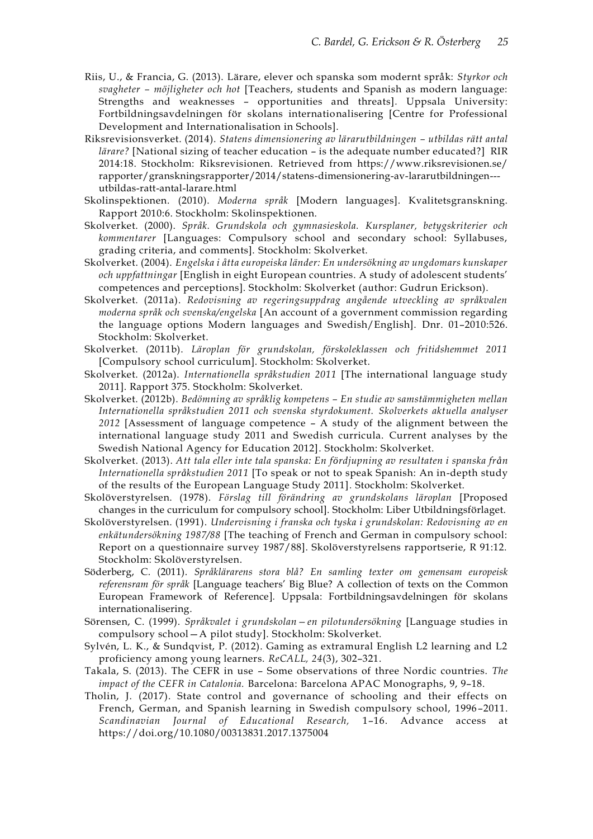- Riis, U., & Francia, G. (2013). Lärare, elever och spanska som modernt språk: *Styrkor och svagheter – möjligheter och hot* [Teachers, students and Spanish as modern language: Strengths and weaknesses – opportunities and threats]*.* Uppsala University: Fortbildningsavdelningen för skolans internationalisering [Centre for Professional Development and Internationalisation in Schools].
- Riksrevisionsverket. (2014). *Statens dimensionering av lärarutbildningen – utbildas rätt antal lärare?* [National sizing of teacher education – is the adequate number educated?] RIR 2014:18. Stockholm: Riksrevisionen. Retrieved from https://www.riksrevisionen.se/ rapporter/granskningsrapporter/2014/statens-dimensionering-av-lararutbildningen-- utbildas-ratt-antal-larare.html
- Skolinspektionen. (2010). *Moderna språk* [Modern languages]. Kvalitetsgranskning. Rapport 2010:6. Stockholm: Skolinspektionen.
- Skolverket. (2000). *Språk. Grundskola och gymnasieskola. Kursplaner, betygskriterier och kommentarer* [Languages: Compulsory school and secondary school: Syllabuses, grading criteria, and comments]. Stockholm: Skolverket.
- Skolverket. (2004). *Engelska i åtta europeiska länder: En undersökning av ungdomars kunskaper och uppfattningar* [English in eight European countries. A study of adolescent students' competences and perceptions]. Stockholm: Skolverket (author: Gudrun Erickson).
- Skolverket. (2011a). *Redovisning av regeringsuppdrag angående utveckling av språkvalen moderna språk och svenska/engelska* [An account of a government commission regarding the language options Modern languages and Swedish/English]. Dnr. 01–2010:526. Stockholm: Skolverket.
- Skolverket. (2011b). *Läroplan för grundskolan, förskoleklassen och fritidshemmet 2011* [Compulsory school curriculum]. Stockholm: Skolverket.
- Skolverket. (2012a). *Internationella språkstudien 2011* [The international language study 2011]. Rapport 375. Stockholm: Skolverket.
- Skolverket. (2012b). *Bedömning av språklig kompetens – En studie av samstämmigheten mellan Internationella språkstudien 2011 och svenska styrdokument. Skolverkets aktuella analyser 2012* [Assessment of language competence – A study of the alignment between the international language study 2011 and Swedish curricula. Current analyses by the Swedish National Agency for Education 2012]. Stockholm: Skolverket.
- Skolverket. (2013). *Att tala eller inte tala spanska: En fördjupning av resultaten i spanska från Internationella språkstudien 2011* [To speak or not to speak Spanish: An in-depth study of the results of the European Language Study 2011]*.* Stockholm: Skolverket.
- Skolöverstyrelsen. (1978). *Förslag till förändring av grundskolans läroplan* [Proposed changes in the curriculum for compulsory school]. Stockholm: Liber Utbildningsförlaget.
- Skolöverstyrelsen. (1991). *Undervisning i franska och tyska i grundskolan: Redovisning av en enkätundersökning 1987/88* [The teaching of French and German in compulsory school: Report on a questionnaire survey 1987/88]. Skolöverstyrelsens rapportserie, R 91:12. Stockholm: Skolöverstyrelsen.
- Söderberg, C. (2011). *Språklärarens stora blå? En samling texter om gemensam europeisk referensram för språk* [Language teachers' Big Blue? A collection of texts on the Common European Framework of Reference]*.* Uppsala: Fortbildningsavdelningen för skolans internationalisering.
- Sörensen, C. (1999). *Språkvalet i grundskolan—en pilotundersökning* [Language studies in compulsory school—A pilot study]. Stockholm: Skolverket.
- Sylvén, L. K., & Sundqvist, P. (2012). Gaming as extramural English L2 learning and L2 proficiency among young learners. *ReCALL, 24*(3), 302–321.
- Takala, S. (2013). The CEFR in use Some observations of three Nordic countries. *The impact of the CEFR in Catalonia.* Barcelona: Barcelona APAC Monographs, 9, 9–18.
- Tholin, J. (2017). State control and governance of schooling and their effects on French, German, and Spanish learning in Swedish compulsory school, 1996 –2011. *Scandinavian Journal of Educational Research,* 1–16. Advance access at https://doi.org/10.1080/00313831.2017.1375004